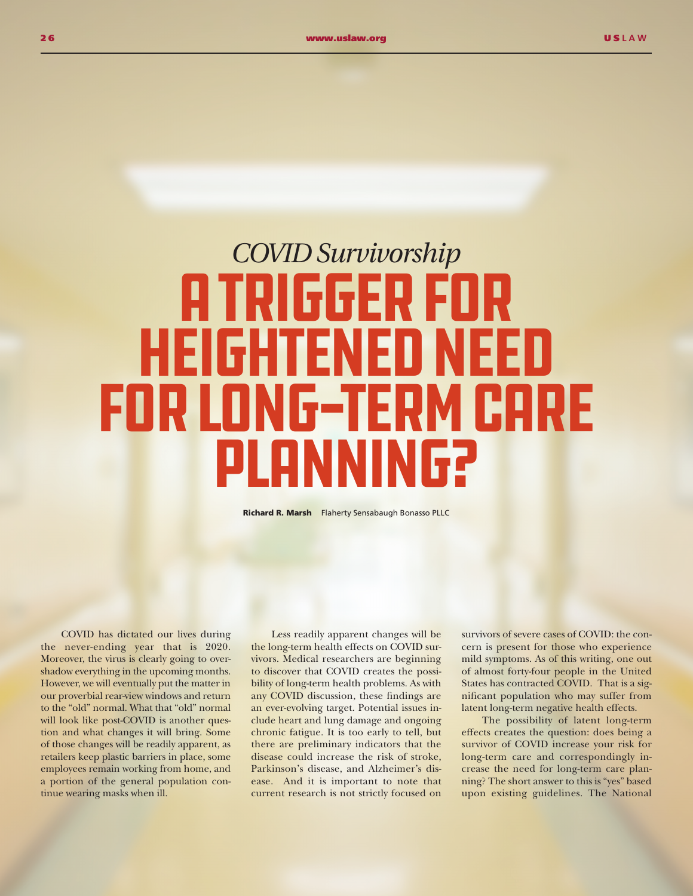## *COVID Survivorship*  A Trigger for Heightened Need For Long-Term Care Planning?

Richard R. Marsh Flaherty Sensabaugh Bonasso PLLC

COVID has dictated our lives during the never-ending year that is 2020. Moreover, the virus is clearly going to overshadow everything in the upcoming months. However, we will eventually put the matter in our proverbial rear-view windows and return to the "old" normal. What that "old" normal will look like post-COVID is another question and what changes it will bring. Some of those changes will be readily apparent, as retailers keep plastic barriers in place, some employees remain working from home, and a portion of the general population continue wearing masks when ill.

Less readily apparent changes will be the long-term health effects on COVID survivors. Medical researchers are beginning to discover that COVID creates the possibility of long-term health problems. As with any COVID discussion, these findings are an ever-evolving target. Potential issues include heart and lung damage and ongoing chronic fatigue. It is too early to tell, but there are preliminary indicators that the disease could increase the risk of stroke, Parkinson's disease, and Alzheimer's disease. And it is important to note that current research is not strictly focused on

survivors of severe cases of COVID: the concern is present for those who experience mild symptoms. As of this writing, one out of almost forty-four people in the United States has contracted COVID. That is a significant population who may suffer from latent long-term negative health effects.

The possibility of latent long-term effects creates the question: does being a survivor of COVID increase your risk for long-term care and correspondingly increase the need for long-term care planning? The short answer to this is "yes" based upon existing guidelines. The National